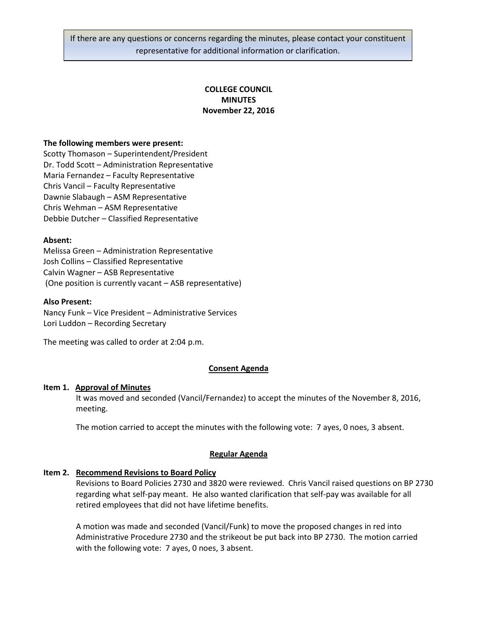If there are any questions or concerns regarding the minutes, please contact your constituent representative for additional information or clarification.

# **COLLEGE COUNCIL MINUTES November 22, 2016**

#### **The following members were present:**

Scotty Thomason – Superintendent/President Dr. Todd Scott – Administration Representative Maria Fernandez – Faculty Representative Chris Vancil – Faculty Representative Dawnie Slabaugh – ASM Representative Chris Wehman – ASM Representative Debbie Dutcher – Classified Representative

#### **Absent:**

Melissa Green – Administration Representative Josh Collins – Classified Representative Calvin Wagner – ASB Representative (One position is currently vacant – ASB representative)

#### **Also Present:**

Nancy Funk – Vice President – Administrative Services Lori Luddon – Recording Secretary

The meeting was called to order at 2:04 p.m.

### **Consent Agenda**

#### **Item 1. Approval of Minutes**

It was moved and seconded (Vancil/Fernandez) to accept the minutes of the November 8, 2016, meeting.

The motion carried to accept the minutes with the following vote: 7 ayes, 0 noes, 3 absent.

#### **Regular Agenda**

# **Item 2. Recommend Revisions to Board Policy**

Revisions to Board Policies 2730 and 3820 were reviewed. Chris Vancil raised questions on BP 2730 regarding what self-pay meant. He also wanted clarification that self-pay was available for all retired employees that did not have lifetime benefits.

A motion was made and seconded (Vancil/Funk) to move the proposed changes in red into Administrative Procedure 2730 and the strikeout be put back into BP 2730. The motion carried with the following vote: 7 ayes, 0 noes, 3 absent.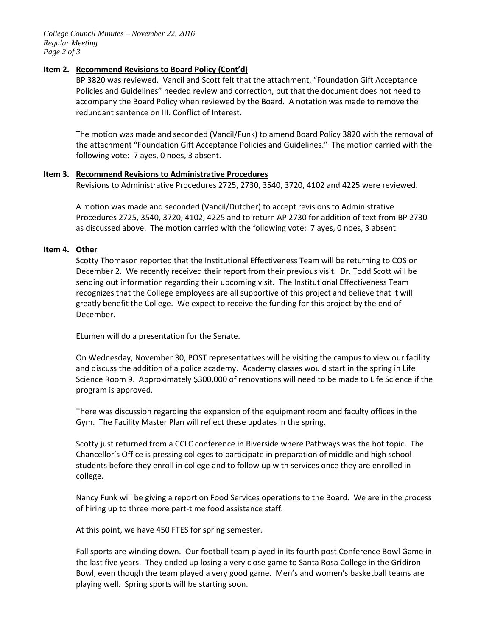*College Council Minutes – November 22, 2016 Regular Meeting Page 2 of 3*

# **Item 2. Recommend Revisions to Board Policy (Cont'd)**

BP 3820 was reviewed. Vancil and Scott felt that the attachment, "Foundation Gift Acceptance Policies and Guidelines" needed review and correction, but that the document does not need to accompany the Board Policy when reviewed by the Board. A notation was made to remove the redundant sentence on III. Conflict of Interest.

The motion was made and seconded (Vancil/Funk) to amend Board Policy 3820 with the removal of the attachment "Foundation Gift Acceptance Policies and Guidelines." The motion carried with the following vote: 7 ayes, 0 noes, 3 absent.

# **Item 3. Recommend Revisions to Administrative Procedures**

Revisions to Administrative Procedures 2725, 2730, 3540, 3720, 4102 and 4225 were reviewed.

A motion was made and seconded (Vancil/Dutcher) to accept revisions to Administrative Procedures 2725, 3540, 3720, 4102, 4225 and to return AP 2730 for addition of text from BP 2730 as discussed above. The motion carried with the following vote: 7 ayes, 0 noes, 3 absent.

# **Item 4. Other**

Scotty Thomason reported that the Institutional Effectiveness Team will be returning to COS on December 2. We recently received their report from their previous visit. Dr. Todd Scott will be sending out information regarding their upcoming visit. The Institutional Effectiveness Team recognizes that the College employees are all supportive of this project and believe that it will greatly benefit the College. We expect to receive the funding for this project by the end of December.

ELumen will do a presentation for the Senate.

On Wednesday, November 30, POST representatives will be visiting the campus to view our facility and discuss the addition of a police academy. Academy classes would start in the spring in Life Science Room 9. Approximately \$300,000 of renovations will need to be made to Life Science if the program is approved.

There was discussion regarding the expansion of the equipment room and faculty offices in the Gym. The Facility Master Plan will reflect these updates in the spring.

Scotty just returned from a CCLC conference in Riverside where Pathways was the hot topic. The Chancellor's Office is pressing colleges to participate in preparation of middle and high school students before they enroll in college and to follow up with services once they are enrolled in college.

Nancy Funk will be giving a report on Food Services operations to the Board. We are in the process of hiring up to three more part-time food assistance staff.

At this point, we have 450 FTES for spring semester.

Fall sports are winding down. Our football team played in its fourth post Conference Bowl Game in the last five years. They ended up losing a very close game to Santa Rosa College in the Gridiron Bowl, even though the team played a very good game. Men's and women's basketball teams are playing well. Spring sports will be starting soon.